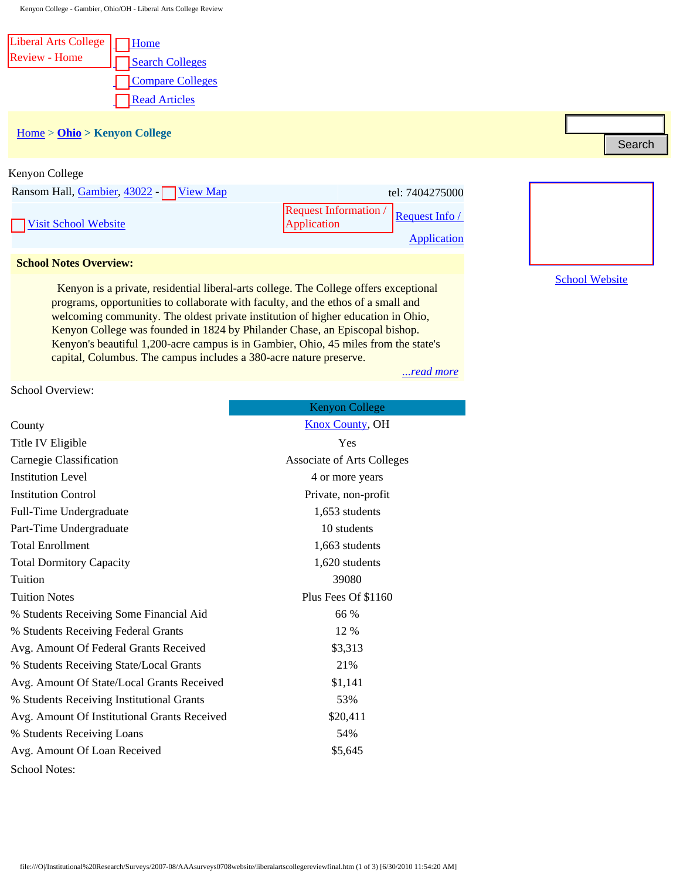Kenyon College - Gambier, Ohio/OH - Liberal Arts College Review

| Liberal Arts College     Home |                      |
|-------------------------------|----------------------|
| <b>Review - Home</b>          | Search Colleges      |
|                               | Compare Colleges     |
|                               | <b>Read Articles</b> |

# [Home](file:///) > **[Ohio](file:///liberal_arts_college/stateid/OH) > Kenyon College**

| Ransom Hall, Gambier, 43022 - View Map |                                      | tel: 7404275000 |
|----------------------------------------|--------------------------------------|-----------------|
| Visit School Website                   | Request Information / Request Info / |                 |
|                                        |                                      | Application     |

#### <span id="page-0-0"></span> **School Notes Overview:**

| Kenyon College                                                                                                                                                                                                                         |                                                                                                                                                                                                                                                                               |  |  |
|----------------------------------------------------------------------------------------------------------------------------------------------------------------------------------------------------------------------------------------|-------------------------------------------------------------------------------------------------------------------------------------------------------------------------------------------------------------------------------------------------------------------------------|--|--|
| Ransom Hall, Gambier, 43022 [<br><b>View Map</b>                                                                                                                                                                                       | tel: 7404275000                                                                                                                                                                                                                                                               |  |  |
|                                                                                                                                                                                                                                        | <b>Request Information</b> /<br>Request Info /                                                                                                                                                                                                                                |  |  |
| <b>Visit School Website</b>                                                                                                                                                                                                            | Application                                                                                                                                                                                                                                                                   |  |  |
|                                                                                                                                                                                                                                        | <b>Application</b>                                                                                                                                                                                                                                                            |  |  |
| <b>School Notes Overview:</b>                                                                                                                                                                                                          |                                                                                                                                                                                                                                                                               |  |  |
| programs, opportunities to collaborate with faculty, and the ethos of a small and<br>Kenyon College was founded in 1824 by Philander Chase, an Episcopal bishop.<br>capital, Columbus. The campus includes a 380-acre nature preserve. | Kenyon is a private, residential liberal-arts college. The College offers exceptional<br>welcoming community. The oldest private institution of higher education in Ohio,<br>Kenyon's beautiful 1,200-acre campus is in Gambier, Ohio, 45 miles from the state's<br>read more |  |  |
| School Overview:                                                                                                                                                                                                                       |                                                                                                                                                                                                                                                                               |  |  |
|                                                                                                                                                                                                                                        | <b>Kenyon College</b>                                                                                                                                                                                                                                                         |  |  |
| County                                                                                                                                                                                                                                 | <b>Knox County, OH</b>                                                                                                                                                                                                                                                        |  |  |
| Title IV Eligible                                                                                                                                                                                                                      | Yes                                                                                                                                                                                                                                                                           |  |  |
| Carnegie Classification                                                                                                                                                                                                                | <b>Associate of Arts Colleges</b>                                                                                                                                                                                                                                             |  |  |
| <b>Institution Level</b>                                                                                                                                                                                                               | 4 or more years                                                                                                                                                                                                                                                               |  |  |
| <b>Institution Control</b>                                                                                                                                                                                                             | Private, non-profit                                                                                                                                                                                                                                                           |  |  |
| Full-Time Undergraduate                                                                                                                                                                                                                | 1,653 students                                                                                                                                                                                                                                                                |  |  |
| Part-Time Undergraduate                                                                                                                                                                                                                | 10 students                                                                                                                                                                                                                                                                   |  |  |
| <b>Total Enrollment</b>                                                                                                                                                                                                                | 1,663 students                                                                                                                                                                                                                                                                |  |  |
| <b>Total Dormitory Capacity</b>                                                                                                                                                                                                        | 1,620 students                                                                                                                                                                                                                                                                |  |  |
| Tuition                                                                                                                                                                                                                                | 39080                                                                                                                                                                                                                                                                         |  |  |
| <b>Tuition Notes</b>                                                                                                                                                                                                                   | Plus Fees Of \$1160                                                                                                                                                                                                                                                           |  |  |
| % Students Receiving Some Financial Aid                                                                                                                                                                                                | 66 %                                                                                                                                                                                                                                                                          |  |  |
| % Students Receiving Federal Grants                                                                                                                                                                                                    | 12 %                                                                                                                                                                                                                                                                          |  |  |
| Avg. Amount Of Federal Grants Received                                                                                                                                                                                                 | \$3,313                                                                                                                                                                                                                                                                       |  |  |
| % Students Receiving State/Local Grants                                                                                                                                                                                                | 21%                                                                                                                                                                                                                                                                           |  |  |
| Avg. Amount Of State/Local Grants Received                                                                                                                                                                                             | \$1,141                                                                                                                                                                                                                                                                       |  |  |
| % Students Receiving Institutional Grants                                                                                                                                                                                              | 53%                                                                                                                                                                                                                                                                           |  |  |
| Avg. Amount Of Institutional Grants Received                                                                                                                                                                                           | \$20,411                                                                                                                                                                                                                                                                      |  |  |
| % Students Receiving Loans                                                                                                                                                                                                             | 54%                                                                                                                                                                                                                                                                           |  |  |
| Avg. Amount Of Loan Received                                                                                                                                                                                                           | \$5,645                                                                                                                                                                                                                                                                       |  |  |
| <b>School Notes:</b>                                                                                                                                                                                                                   |                                                                                                                                                                                                                                                                               |  |  |
|                                                                                                                                                                                                                                        |                                                                                                                                                                                                                                                                               |  |  |
|                                                                                                                                                                                                                                        |                                                                                                                                                                                                                                                                               |  |  |
|                                                                                                                                                                                                                                        |                                                                                                                                                                                                                                                                               |  |  |
|                                                                                                                                                                                                                                        | file:///O /Institutional%20Research/Surveys/2007-08/AAAsurveys0708website/liberalartscollegereviewfinal.htm (1 of 3) [6/30/2010 11:54:20 AM]                                                                                                                                  |  |  |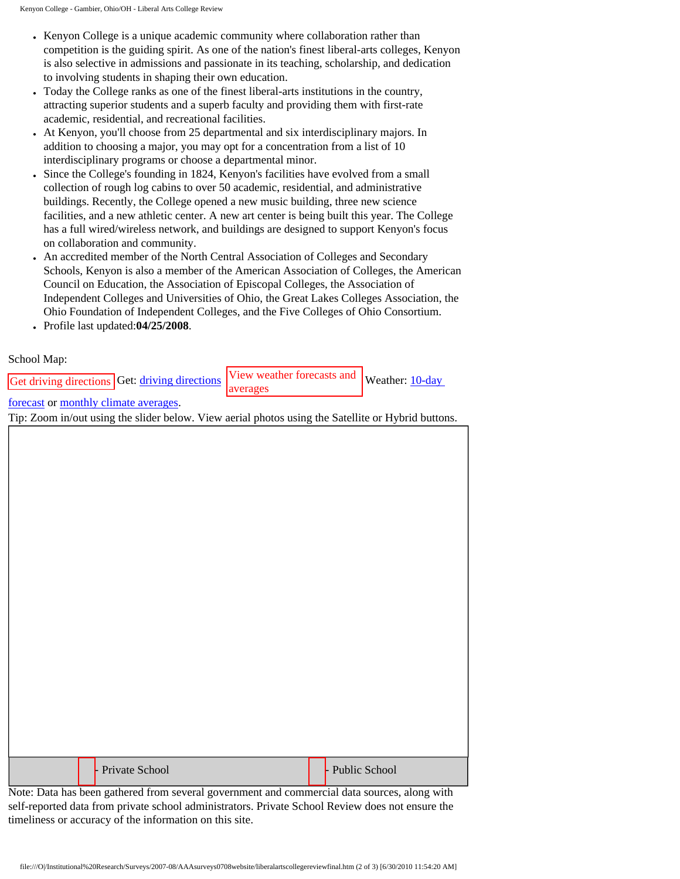- Kenyon College is a unique academic community where collaboration rather than competition is the guiding spirit. As one of the nation's finest liberal-arts colleges, Kenyon is also selective in admissions and passionate in its teaching, scholarship, and dedication to involving students in shaping their own education.
- Today the College ranks as one of the finest liberal-arts institutions in the country, attracting superior students and a superb faculty and providing them with first-rate academic, residential, and recreational facilities.
- At Kenyon, you'll choose from 25 departmental and six interdisciplinary majors. In addition to choosing a major, you may opt for a concentration from a list of 10 interdisciplinary programs or choose a departmental minor.
- Since the College's founding in 1824, Kenyon's facilities have evolved from a small collection of rough log cabins to over 50 academic, residential, and administrative buildings. Recently, the College opened a new music building, three new science facilities, and a new athletic center. A new art center is being built this year. The College has a full wired/wireless network, and buildings are designed to support Kenyon's focus on collaboration and community.
- An accredited member of the North Central Association of Colleges and Secondary Schools, Kenyon is also a member of the American Association of Colleges, the American Council on Education, the Association of Episcopal Colleges, the Association of Independent Colleges and Universities of Ohio, the Great Lakes Colleges Association, the Ohio Foundation of Independent Colleges, and the Five Colleges of Ohio Consortium.
- Profile last updated:**04/25/2008**.

## <span id="page-1-0"></span>School Map:

Get [driving directions](http://www.mapquest.com/directions/main.adp?2a=423%20Main%20Street&2c=Wilbraham&2s=MA&2z=01095&2y=US&cid=lfddlink) Get: driving directions View weather forecasts and

averages

Weather: [10-day](http://www.weather.com/activities/other/other/weather/tenday.html?locid=01095)

## [forecast](http://www.weather.com/activities/other/other/weather/tenday.html?locid=01095) or [monthly climate averages.](http://www.weather.com/activities/other/other/weather/climo-monthly.html?locid=01095)

Tip: Zoom in/out using the slider below. View aerial photos using the Satellite or Hybrid buttons.

|  |  | <b>Private School</b> |  | - Public School |
|--|--|-----------------------|--|-----------------|
|--|--|-----------------------|--|-----------------|

Note: Data has been gathered from several government and commercial data sources, along with self-reported data from private school administrators. Private School Review does not ensure the timeliness or accuracy of the information on this site.